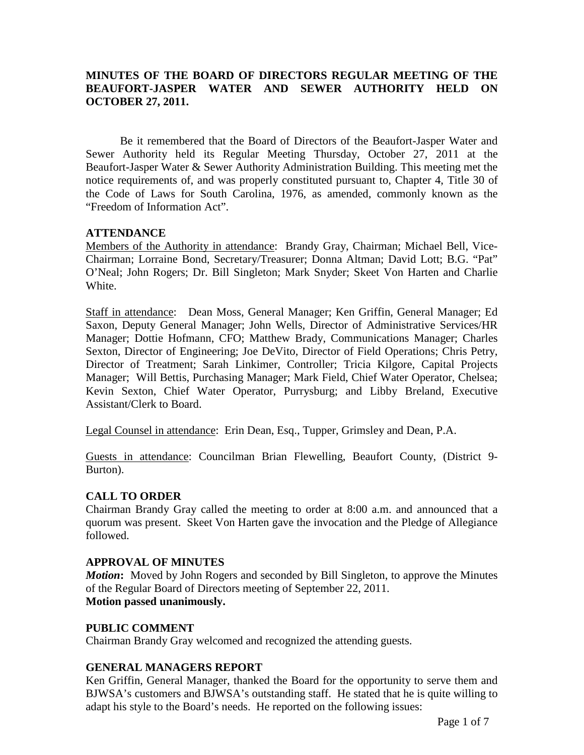## **MINUTES OF THE BOARD OF DIRECTORS REGULAR MEETING OF THE BEAUFORT-JASPER WATER AND SEWER AUTHORITY HELD ON OCTOBER 27, 2011.**

Be it remembered that the Board of Directors of the Beaufort-Jasper Water and Sewer Authority held its Regular Meeting Thursday, October 27, 2011 at the Beaufort-Jasper Water & Sewer Authority Administration Building. This meeting met the notice requirements of, and was properly constituted pursuant to, Chapter 4, Title 30 of the Code of Laws for South Carolina, 1976, as amended, commonly known as the "Freedom of Information Act".

### **ATTENDANCE**

Members of the Authority in attendance: Brandy Gray, Chairman; Michael Bell, Vice-Chairman; Lorraine Bond, Secretary/Treasurer; Donna Altman; David Lott; B.G. "Pat" O'Neal; John Rogers; Dr. Bill Singleton; Mark Snyder; Skeet Von Harten and Charlie White.

Staff in attendance: Dean Moss, General Manager; Ken Griffin, General Manager; Ed Saxon, Deputy General Manager; John Wells, Director of Administrative Services/HR Manager; Dottie Hofmann, CFO; Matthew Brady, Communications Manager; Charles Sexton, Director of Engineering; Joe DeVito, Director of Field Operations; Chris Petry, Director of Treatment; Sarah Linkimer, Controller; Tricia Kilgore, Capital Projects Manager; Will Bettis, Purchasing Manager; Mark Field, Chief Water Operator, Chelsea; Kevin Sexton, Chief Water Operator, Purrysburg; and Libby Breland, Executive Assistant/Clerk to Board.

Legal Counsel in attendance: Erin Dean, Esq., Tupper, Grimsley and Dean, P.A.

Guests in attendance: Councilman Brian Flewelling, Beaufort County, (District 9- Burton).

## **CALL TO ORDER**

Chairman Brandy Gray called the meeting to order at 8:00 a.m. and announced that a quorum was present. Skeet Von Harten gave the invocation and the Pledge of Allegiance followed.

### **APPROVAL OF MINUTES**

*Motion*: Moved by John Rogers and seconded by Bill Singleton, to approve the Minutes of the Regular Board of Directors meeting of September 22, 2011. **Motion passed unanimously.** 

### **PUBLIC COMMENT**

Chairman Brandy Gray welcomed and recognized the attending guests.

### **GENERAL MANAGERS REPORT**

Ken Griffin, General Manager, thanked the Board for the opportunity to serve them and BJWSA's customers and BJWSA's outstanding staff. He stated that he is quite willing to adapt his style to the Board's needs. He reported on the following issues: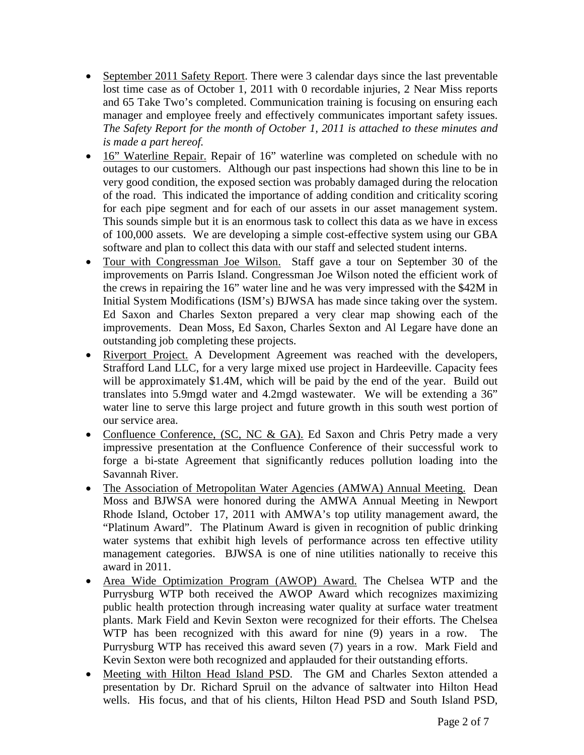- September 2011 Safety Report. There were 3 calendar days since the last preventable lost time case as of October 1, 2011 with 0 recordable injuries, 2 Near Miss reports and 65 Take Two's completed. Communication training is focusing on ensuring each manager and employee freely and effectively communicates important safety issues. *The Safety Report for the month of October 1, 2011 is attached to these minutes and is made a part hereof.*
- 16" Waterline Repair. Repair of 16" waterline was completed on schedule with no outages to our customers. Although our past inspections had shown this line to be in very good condition, the exposed section was probably damaged during the relocation of the road. This indicated the importance of adding condition and criticality scoring for each pipe segment and for each of our assets in our asset management system. This sounds simple but it is an enormous task to collect this data as we have in excess of 100,000 assets. We are developing a simple cost-effective system using our GBA software and plan to collect this data with our staff and selected student interns.
- Tour with Congressman Joe Wilson. Staff gave a tour on September 30 of the improvements on Parris Island. Congressman Joe Wilson noted the efficient work of the crews in repairing the 16" water line and he was very impressed with the \$42M in Initial System Modifications (ISM's) BJWSA has made since taking over the system. Ed Saxon and Charles Sexton prepared a very clear map showing each of the improvements. Dean Moss, Ed Saxon, Charles Sexton and Al Legare have done an outstanding job completing these projects.
- Riverport Project. A Development Agreement was reached with the developers, Strafford Land LLC, for a very large mixed use project in Hardeeville. Capacity fees will be approximately \$1.4M, which will be paid by the end of the year. Build out translates into 5.9mgd water and 4.2mgd wastewater. We will be extending a 36" water line to serve this large project and future growth in this south west portion of our service area.
- Confluence Conference, (SC, NC & GA). Ed Saxon and Chris Petry made a very impressive presentation at the Confluence Conference of their successful work to forge a bi-state Agreement that significantly reduces pollution loading into the Savannah River.
- The Association of Metropolitan Water Agencies (AMWA) Annual Meeting. Dean Moss and BJWSA were honored during the AMWA Annual Meeting in Newport Rhode Island, October 17, 2011 with AMWA's top utility management award, the "Platinum Award". The Platinum Award is given in recognition of public drinking water systems that exhibit high levels of performance across ten effective utility management categories. BJWSA is one of nine utilities nationally to receive this award in 2011.
- Area Wide Optimization Program (AWOP) Award. The Chelsea WTP and the Purrysburg WTP both received the AWOP Award which recognizes maximizing public health protection through increasing water quality at surface water treatment plants. Mark Field and Kevin Sexton were recognized for their efforts. The Chelsea WTP has been recognized with this award for nine (9) years in a row. The Purrysburg WTP has received this award seven (7) years in a row. Mark Field and Kevin Sexton were both recognized and applauded for their outstanding efforts.
- Meeting with Hilton Head Island PSD. The GM and Charles Sexton attended a presentation by Dr. Richard Spruil on the advance of saltwater into Hilton Head wells. His focus, and that of his clients, Hilton Head PSD and South Island PSD,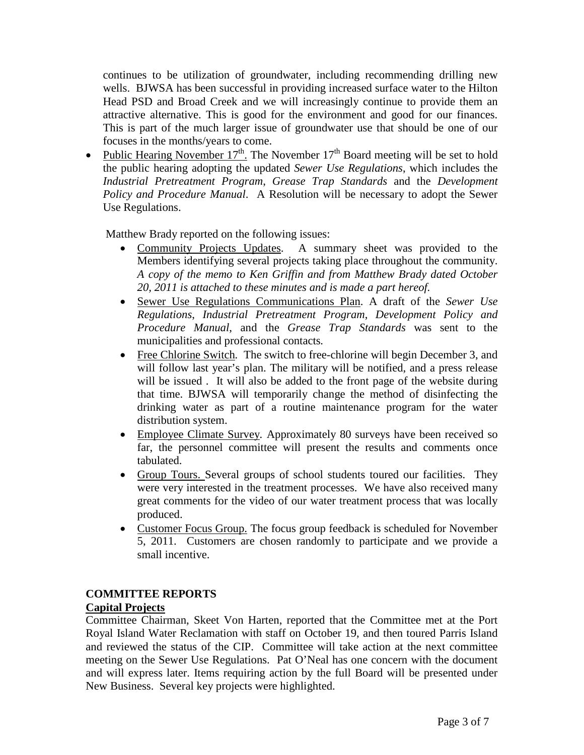continues to be utilization of groundwater, including recommending drilling new wells. BJWSA has been successful in providing increased surface water to the Hilton Head PSD and Broad Creek and we will increasingly continue to provide them an attractive alternative. This is good for the environment and good for our finances. This is part of the much larger issue of groundwater use that should be one of our focuses in the months/years to come.

• Public Hearing November  $17<sup>th</sup>$ . The November  $17<sup>th</sup>$  Board meeting will be set to hold the public hearing adopting the updated *Sewer Use Regulations*, which includes the *Industrial Pretreatment Program*, *Grease Trap Standards* and the *Development Policy and Procedure Manual*. A Resolution will be necessary to adopt the Sewer Use Regulations.

Matthew Brady reported on the following issues:

- Community Projects Updates. A summary sheet was provided to the Members identifying several projects taking place throughout the community. *A copy of the memo to Ken Griffin and from Matthew Brady dated October 20, 2011 is attached to these minutes and is made a part hereof.*
- Sewer Use Regulations Communications Plan. A draft of the *Sewer Use Regulations*, *Industrial Pretreatment Program*, *Development Policy and Procedure Manual*, and the *Grease Trap Standards* was sent to the municipalities and professional contacts*.*
- Free Chlorine Switch, The switch to free-chlorine will begin December 3, and will follow last year's plan. The military will be notified, and a press release will be issued . It will also be added to the front page of the website during that time. BJWSA will temporarily change the method of disinfecting the drinking water as part of a routine maintenance program for the water distribution system.
- Employee Climate Survey. Approximately 80 surveys have been received so far, the personnel committee will present the results and comments once tabulated.
- Group Tours. Several groups of school students toured our facilities. They were very interested in the treatment processes. We have also received many great comments for the video of our water treatment process that was locally produced.
- Customer Focus Group. The focus group feedback is scheduled for November 5, 2011. Customers are chosen randomly to participate and we provide a small incentive.

# **COMMITTEE REPORTS**

## **Capital Projects**

Committee Chairman, Skeet Von Harten, reported that the Committee met at the Port Royal Island Water Reclamation with staff on October 19, and then toured Parris Island and reviewed the status of the CIP. Committee will take action at the next committee meeting on the Sewer Use Regulations. Pat O'Neal has one concern with the document and will express later. Items requiring action by the full Board will be presented under New Business. Several key projects were highlighted.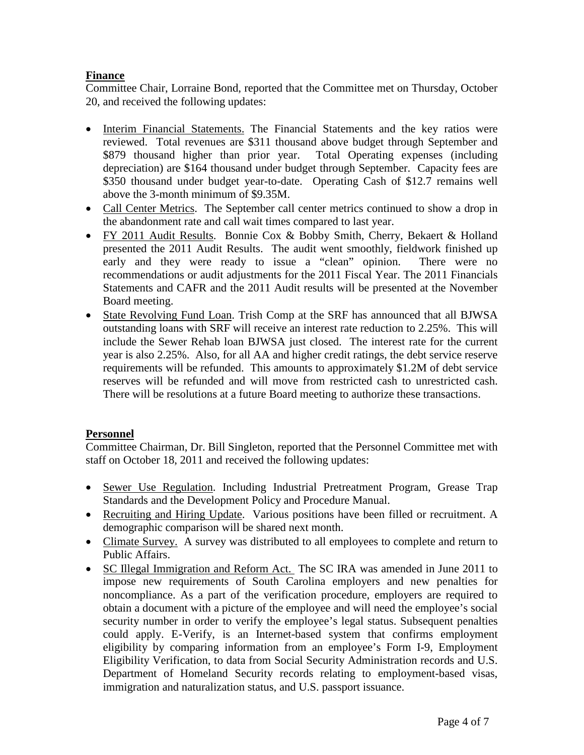## **Finance**

Committee Chair, Lorraine Bond, reported that the Committee met on Thursday, October 20, and received the following updates:

- Interim Financial Statements. The Financial Statements and the key ratios were reviewed. Total revenues are \$311 thousand above budget through September and \$879 thousand higher than prior year. Total Operating expenses (including depreciation) are \$164 thousand under budget through September. Capacity fees are \$350 thousand under budget year-to-date. Operating Cash of \$12.7 remains well above the 3-month minimum of \$9.35M.
- Call Center Metrics. The September call center metrics continued to show a drop in the abandonment rate and call wait times compared to last year.
- FY 2011 Audit Results. Bonnie Cox & Bobby Smith, Cherry, Bekaert & Holland presented the 2011 Audit Results. The audit went smoothly, fieldwork finished up early and they were ready to issue a "clean" opinion. There were no recommendations or audit adjustments for the 2011 Fiscal Year. The 2011 Financials Statements and CAFR and the 2011 Audit results will be presented at the November Board meeting.
- State Revolving Fund Loan. Trish Comp at the SRF has announced that all BJWSA outstanding loans with SRF will receive an interest rate reduction to 2.25%. This will include the Sewer Rehab loan BJWSA just closed. The interest rate for the current year is also 2.25%. Also, for all AA and higher credit ratings, the debt service reserve requirements will be refunded. This amounts to approximately \$1.2M of debt service reserves will be refunded and will move from restricted cash to unrestricted cash. There will be resolutions at a future Board meeting to authorize these transactions.

## **Personnel**

Committee Chairman, Dr. Bill Singleton, reported that the Personnel Committee met with staff on October 18, 2011 and received the following updates:

- Sewer Use Regulation. Including Industrial Pretreatment Program, Grease Trap Standards and the Development Policy and Procedure Manual.
- Recruiting and Hiring Update. Various positions have been filled or recruitment. A demographic comparison will be shared next month.
- Climate Survey. A survey was distributed to all employees to complete and return to Public Affairs.
- SC Illegal Immigration and Reform Act. The SC IRA was amended in June 2011 to impose new requirements of South Carolina employers and new penalties for noncompliance. As a part of the verification procedure, employers are required to obtain a document with a picture of the employee and will need the employee's social security number in order to verify the employee's legal status. Subsequent penalties could apply. E-Verify, is an Internet-based system that confirms employment eligibility by comparing information from an employee's Form I-9, Employment Eligibility Verification, to data from Social Security Administration records and U.S. Department of Homeland Security records relating to employment-based visas, immigration and naturalization status, and U.S. passport issuance.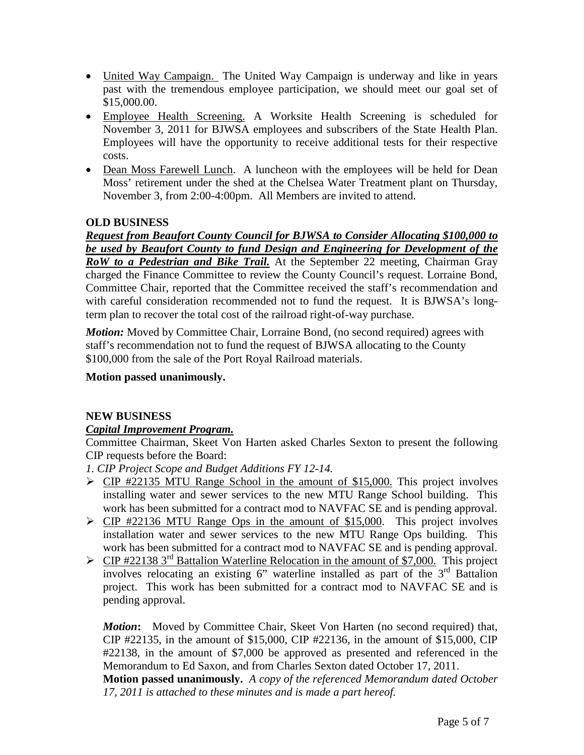- United Way Campaign. The United Way Campaign is underway and like in years past with the tremendous employee participation, we should meet our goal set of \$15,000.00.
- Employee Health Screening. A Worksite Health Screening is scheduled for November 3, 2011 for BJWSA employees and subscribers of the State Health Plan. Employees will have the opportunity to receive additional tests for their respective costs.
- Dean Moss Farewell Lunch. A luncheon with the employees will be held for Dean Moss' retirement under the shed at the Chelsea Water Treatment plant on Thursday, November 3, from 2:00-4:00pm. All Members are invited to attend.

## **OLD BUSINESS**

*Request from Beaufort County Council for BJWSA to Consider Allocating \$100,000 to be used by Beaufort County to fund Design and Engineering for Development of the RoW to a Pedestrian and Bike Trail.* At the September 22 meeting, Chairman Gray charged the Finance Committee to review the County Council's request. Lorraine Bond, Committee Chair, reported that the Committee received the staff's recommendation and with careful consideration recommended not to fund the request. It is BJWSA's longterm plan to recover the total cost of the railroad right-of-way purchase.

*Motion:* Moved by Committee Chair, Lorraine Bond, (no second required) agrees with staff's recommendation not to fund the request of BJWSA allocating to the County \$100,000 from the sale of the Port Royal Railroad materials.

## **Motion passed unanimously.**

## **NEW BUSINESS**

## *Capital Improvement Program.*

Committee Chairman, Skeet Von Harten asked Charles Sexton to present the following CIP requests before the Board:

*1. CIP Project Scope and Budget Additions FY 12-14.*

- $\triangleright$  CIP #22135 MTU Range School in the amount of \$15,000. This project involves installing water and sewer services to the new MTU Range School building. This work has been submitted for a contract mod to NAVFAC SE and is pending approval.
- $\triangleright$  CIP #22136 MTU Range Ops in the amount of \$15,000. This project involves installation water and sewer services to the new MTU Range Ops building. This work has been submitted for a contract mod to NAVFAC SE and is pending approval.
- $\triangleright$  CIP #22138 3<sup>rd</sup> Battalion Waterline Relocation in the amount of \$7,000. This project involves relocating an existing  $6$ " waterline installed as part of the  $3<sup>rd</sup>$  Battalion project. This work has been submitted for a contract mod to NAVFAC SE and is pending approval.

*Motion***:** Moved by Committee Chair, Skeet Von Harten (no second required) that, CIP #22135, in the amount of \$15,000, CIP #22136, in the amount of \$15,000, CIP #22138, in the amount of \$7,000 be approved as presented and referenced in the Memorandum to Ed Saxon, and from Charles Sexton dated October 17, 2011.

**Motion passed unanimously.** *A copy of the referenced Memorandum dated October 17, 2011 is attached to these minutes and is made a part hereof.*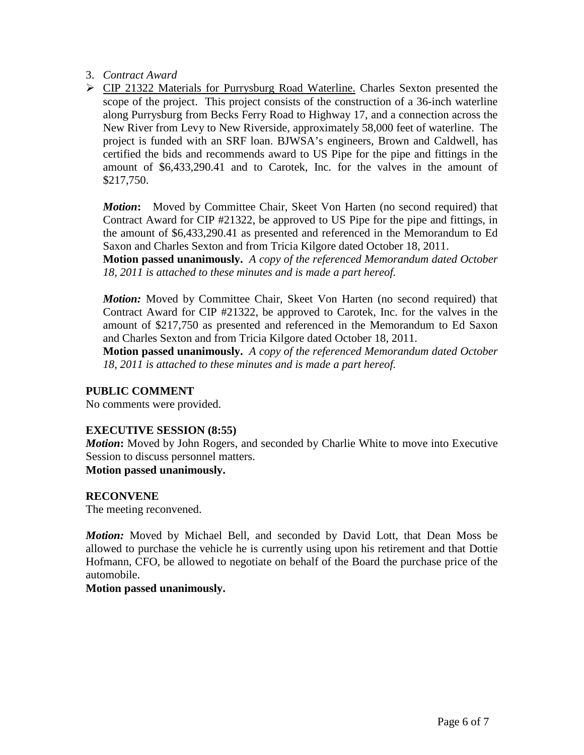- 3. *Contract Award*
- CIP 21322 Materials for Purrysburg Road Waterline. Charles Sexton presented the scope of the project. This project consists of the construction of a 36-inch waterline along Purrysburg from Becks Ferry Road to Highway 17, and a connection across the New River from Levy to New Riverside, approximately 58,000 feet of waterline. The project is funded with an SRF loan. BJWSA's engineers, Brown and Caldwell, has certified the bids and recommends award to US Pipe for the pipe and fittings in the amount of \$6,433,290.41 and to Carotek, Inc. for the valves in the amount of \$217,750.

*Motion***:** Moved by Committee Chair, Skeet Von Harten (no second required) that Contract Award for CIP #21322, be approved to US Pipe for the pipe and fittings, in the amount of \$6,433,290.41 as presented and referenced in the Memorandum to Ed Saxon and Charles Sexton and from Tricia Kilgore dated October 18, 2011.

**Motion passed unanimously.** *A copy of the referenced Memorandum dated October 18, 2011 is attached to these minutes and is made a part hereof.*

*Motion:* Moved by Committee Chair, Skeet Von Harten (no second required) that Contract Award for CIP #21322, be approved to Carotek, Inc. for the valves in the amount of \$217,750 as presented and referenced in the Memorandum to Ed Saxon and Charles Sexton and from Tricia Kilgore dated October 18, 2011.

**Motion passed unanimously.** *A copy of the referenced Memorandum dated October 18, 2011 is attached to these minutes and is made a part hereof.*

## **PUBLIC COMMENT**

No comments were provided.

### **EXECUTIVE SESSION (8:55)**

*Motion*: Moved by John Rogers, and seconded by Charlie White to move into Executive Session to discuss personnel matters.

**Motion passed unanimously.**

## **RECONVENE**

The meeting reconvened.

*Motion:* Moved by Michael Bell, and seconded by David Lott, that Dean Moss be allowed to purchase the vehicle he is currently using upon his retirement and that Dottie Hofmann, CFO, be allowed to negotiate on behalf of the Board the purchase price of the automobile.

### **Motion passed unanimously.**